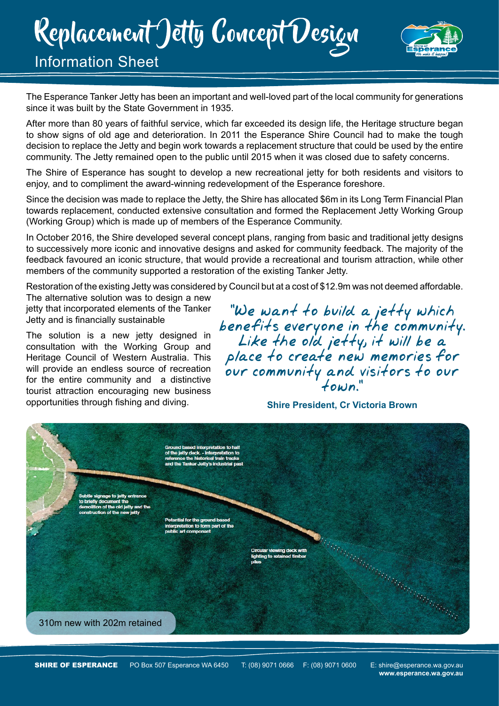# Replacement Jetty Concept Design



### Information Sheet

The Esperance Tanker Jetty has been an important and well-loved part of the local community for generations since it was built by the State Government in 1935.

After more than 80 years of faithful service, which far exceeded its design life, the Heritage structure began to show signs of old age and deterioration. In 2011 the Esperance Shire Council had to make the tough decision to replace the Jetty and begin work towards a replacement structure that could be used by the entire community. The Jetty remained open to the public until 2015 when it was closed due to safety concerns.

The Shire of Esperance has sought to develop a new recreational jetty for both residents and visitors to enjoy, and to compliment the award-winning redevelopment of the Esperance foreshore.

Since the decision was made to replace the Jetty, the Shire has allocated \$6m in its Long Term Financial Plan towards replacement, conducted extensive consultation and formed the Replacement Jetty Working Group (Working Group) which is made up of members of the Esperance Community.

In October 2016, the Shire developed several concept plans, ranging from basic and traditional jetty designs to successively more iconic and innovative designs and asked for community feedback. The majority of the feedback favoured an iconic structure, that would provide a recreational and tourism attraction, while other members of the community supported a restoration of the existing Tanker Jetty.

Restoration of the existing Jetty was considered by Council but at a cost of \$12.9m was not deemed affordable.

The alternative solution was to design a new jetty that incorporated elements of the Tanker Jetty and is financially sustainable

The solution is a new jetty designed in consultation with the Working Group and Heritage Council of Western Australia. This will provide an endless source of recreation for the entire community and a distinctive tourist attraction encouraging new business opportunities through fishing and diving.

"We want to build a jetty which<br>benefits everyone in the community.<br>Like the old jetty, it will be a<br>place to create new memories for<br>our community and visitors to our

#### **Shire President, Cr Victoria Brown**



**www.esperance.wa.gov.au**